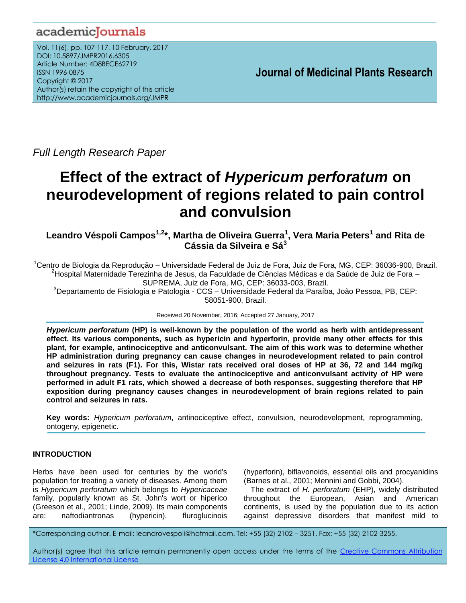# academicJournals

Vol. 11(6), pp. 107-117, 10 February, 2017 DOI: 10.5897/JMPR2016.6305 Article Number: 4D8BECE62719 ISSN 1996-0875 Copyright © 2017 Author(s) retain the copyright of this article http://www.academicjournals.org/JMPR

 **Journal of Medicinal Plants Research**

*Full Length Research Paper*

# **Effect of the extract of** *Hypericum perforatum* **on neurodevelopment of regions related to pain control and convulsion**

**Leandro Véspoli Campos1,2\*, Martha de Oliveira Guerra<sup>1</sup> , Vera Maria Peters<sup>1</sup> and Rita de Cássia da Silveira e Sá<sup>3</sup>**

 $^1$ Centro de Biologia da Reprodução – Universidade Federal de Juiz de Fora, Juiz de Fora, MG, CEP: 36036-900, Brazil. <sup>2</sup>Hospital Maternidade Terezinha de Jesus, da Faculdade de Ciências Médicas e da Saúde de Juiz de Fora – SUPREMA, Juiz de Fora, MG, CEP: 36033-003, Brazil.

<sup>3</sup>Departamento de Fisiologia e Patologia - CCS – Universidade Federal da Paraíba, João Pessoa, PB, CEP: 58051-900, Brazil.

Received 20 November, 2016; Accepted 27 January, 2017

*Hypericum perforatum* **(HP) is well-known by the population of the world as herb with antidepressant effect. Its various components, such as hypericin and hyperforin, provide many other effects for this plant, for example, antinociceptive and anticonvulsant. The aim of this work was to determine whether HP administration during pregnancy can cause changes in neurodevelopment related to pain control and seizures in rats (F1). For this, Wistar rats received oral doses of HP at 36, 72 and 144 mg/kg throughout pregnancy. Tests to evaluate the antinociceptive and anticonvulsant activity of HP were performed in adult F1 rats, which showed a decrease of both responses, suggesting therefore that HP exposition during pregnancy causes changes in neurodevelopment of brain regions related to pain control and seizures in rats.**

**Key words:** *Hypericum perforatum*, antinociceptive effect, convulsion, neurodevelopment, reprogramming, ontogeny, epigenetic.

# **INTRODUCTION**

Herbs have been used for centuries by the world's population for treating a variety of diseases. Among them is *Hypericum perforatum* which belongs to *Hypericaceae* family*,* popularly known as St. John's wort or hiperico (Greeson et al., 2001; Linde, 2009). Its main components are: naftodiantronas (hypericin), fluroglucinois (hyperforin), biflavonoids, essential oils and procyanidins (Barnes et al., 2001; Mennini and Gobbi, 2004).

The extract of *H. perforatum* (EHP), widely distributed throughout the European, Asian and American continents, is used by the population due to its action against depressive disorders that manifest mild to

\*Corresponding author. E-mail: leandrovespoli@hotmail.com. Tel: +55 (32) 2102 – 3251. Fax: +55 (32) 2102-3255.

Author(s) agree that this article remain permanently open access under the terms of the Creative Commons Attribution License 4.0 [International](http://creativecommons.org/licenses/by/4.0/deed.en_US) License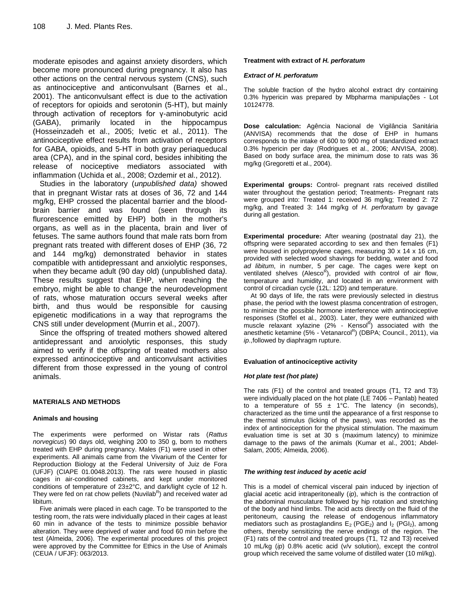moderate episodes and against anxiety disorders, which become more pronounced during pregnancy. It also has other actions on the central nervous system (CNS), such as antinociceptive and anticonvulsant (Barnes et al., 2001). The anticonvulsant effect is due to the activation of receptors for opioids and serotonin (5-HT), but mainly through activation of receptors for γ-aminobutyric acid (GABA), primarily located in the hippocampus (Hosseinzadeh et al., 2005; Ivetic et al., 2011). The antinociceptive effect results from activation of receptors for GABA, opioids, and 5-HT in both gray periaqueducal area (CPA), and in the spinal cord, besides inhibiting the release of nociceptive mediators associated with inflammation (Uchida et al., 2008; Ozdemir et al., 2012).

Studies in the laboratory (*unpublished data)* showed that in pregnant Wistar rats at doses of 36, 72 and 144 mg/kg, EHP crossed the placental barrier and the bloodbrain barrier and was found (seen through its flurorescence emitted by EHP) both in the mother's organs, as well as in the placenta, brain and liver of fetuses*.* The same authors found that male rats born from pregnant rats treated with different doses of EHP (36, 72 and 144 mg/kg) demonstrated behavior in states compatible with antidepressant and anxiolytic responses, when they became adult (90 day old) (unpublished data*).*  These results suggest that EHP, when reaching the embryo, might be able to change the neurodevelopment of rats, whose maturation occurs several weeks after birth, and thus would be responsible for causing epigenetic modifications in a way that reprograms the CNS still under development (Murrin et al., 2007).

Since the offspring of treated mothers showed altered antidepressant and anxiolytic responses, this study aimed to verify if the offspring of treated mothers also expressed antinociceptive and anticonvulsant activities different from those expressed in the young of control animals.

#### **MATERIALS AND METHODS**

#### **Animals and housing**

The experiments were performed on Wistar rats (*Rattus norvegicus*) 90 days old, weighing 200 to 350 g, born to mothers treated with EHP during pregnancy. Males (F1) were used in other experiments. All animals came from the Vivarium of the Center for Reproduction Biology at the Federal University of Juiz de Fora (UFJF) (CIAPE 01.0048.2013). The rats were housed in plastic cages in air-conditioned cabinets, and kept under monitored conditions of temperature of 23±2°C, and dark/light cycle of 12 h. They were fed on rat chow pellets (Nuvilab<sup>R</sup>) and received water ad libitum.

Five animals were placed in each cage. To be transported to the testing room, the rats were individually placed in their cages at least 60 min in advance of the tests to minimize possible behavior alteration. They were deprived of water and food 60 min before the test (Almeida, 2006). The experimental procedures of this project were approved by the Committee for Ethics in the Use of Animals (CEUA / UFJF): 063/2013.

#### **Treatment with extract of** *H. perforatum*

#### *Extract of H. perforatum*

The soluble fraction of the hydro alcohol extract dry containing 0.3% hypericin was prepared by Mbpharma manipulações - Lot 10124778.

**Dose calculation:** Agência Nacional de Vigilância Sanitária (ANVISA) recommends that the dose of EHP in humans corresponds to the intake of 600 to 900 mg of standardized extract 0.3% hypericin per day (Rodrigues et al., 2006; [ANVISA, 2008\)](#page-9-0). Based on body surface area, the minimum dose to rats was 36 mg/kg (Gregoretti et al., 2004).

**Experimental groups:** Control- pregnant rats received distilled water throughout the gestation period; Treatments- Pregnant rats were grouped into: Treated 1: received 36 mg/kg; Treated 2: 72 mg/kg, and Treated 3: 144 mg/kg of *H. perforatum* by gavage during all gestation.

**Experimental procedure:** After weaning (postnatal day 21), the offspring were separated according to sex and then females (F1) were housed in polypropylene cages, measuring 30 x 14 x 16 cm, provided with selected wood shavings for bedding, water and food *ad libitum*, in number, 5 per cage. The cages were kept on ventilated shelves (Alesco<sup>R</sup>), provided with control of air flow, temperature and humidity, and located in an environment with control of circadian cycle (12L: 12D) and temperature.

At 90 days of life, the rats were previously selected in diestrus phase, the period with the lowest plasma concentration of estrogen, to minimize the possible hormone interference with antinociceptive responses (Stoffel et al., 2003). Later, they were euthanized with muscle relaxant xylazine (2% - Kensol<sup>R</sup>) associated with the anesthetic ketamine (5% - Vetanarcol<sup>R</sup>) (DBPA; Council., 2011), via *ip*.,followed by diaphragm rupture.

#### **Evaluation of antinociceptive activity**

#### *Hot plate test (hot plate)*

The rats (F1) of the control and treated groups (T1, T2 and T3) were individually placed on the hot plate (LE 7406 – Panlab) heated to a temperature of 55  $\pm$  1°C. The latency (in seconds), characterized as the time until the appearance of a first response to the thermal stimulus (licking of the paws), was recorded as the index of antinociception for the physical stimulation. The maximum evaluation time is set at 30 s (maximum latency) to minimize damage to the paws of the animals (Kumar et al., 2001; Abdel-Salam, 2005; Almeida, 2006).

#### *The writhing test induced by acetic acid*

This is a model of chemical visceral pain induced by injection of glacial acetic acid intraperitoneally (*ip*), which is the contraction of the abdominal musculature followed by hip rotation and stretching of the body and hind limbs. The acid acts directly on the fluid of the peritoneum, causing the release of endogenous inflammatory mediators such as prostaglandins  $E_2$  (PGE<sub>2</sub>) and  $I_2$  (PGI<sub>2</sub>), among others, thereby sensitizing the nerve endings of the region. The (F1) rats of the control and treated groups (T1, T2 and T3) received 10 mL/kg (*ip*) 0.8% acetic acid (v/v solution), except the control group which received the same volume of distilled water (10 ml/kg).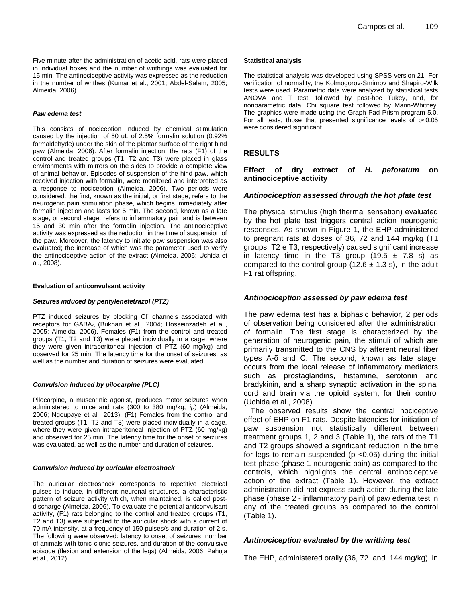Five minute after the administration of acetic acid, rats were placed in individual boxes and the number of writhings was evaluated for 15 min. The antinociceptive activity was expressed as the reduction in the number of writhes (Kumar et al., 2001; Abdel-Salam, 2005; Almeida, 2006).

#### *Paw edema test*

This consists of nociception induced by chemical stimulation caused by the injection of 50 uL of 2.5% formalin solution (0.92% formaldehyde) under the skin of the plantar surface of the right hind paw (Almeida, 2006). After formalin injection, the rats (F1) of the control and treated groups (T1, T2 and T3) were placed in glass environments with mirrors on the sides to provide a complete view of animal behavior. Episodes of suspension of the hind paw, which received injection with formalin, were monitored and interpreted as a response to nociception (Almeida, 2006). Two periods were considered: the first, known as the initial, or first stage, refers to the neurogenic pain stimulation phase, which begins immediately after formalin injection and lasts for 5 min. The second, known as a late stage, or second stage, refers to inflammatory pain and is between 15 and 30 min after the formalin injection. The antinociceptive activity was expressed as the reduction in the time of suspension of the paw. Moreover, the latency to initiate paw suspension was also evaluated; the increase of which was the parameter used to verify the antinociceptive action of the extract (Almeida, 2006; Uchida et al., 2008).

#### **Evaluation of anticonvulsant activity**

#### *Seizures induced by pentylenetetrazol (PTZ)*

PTZ induced seizures by blocking CI<sup>-</sup> channels associated with receptors for GABA<sup>A</sup> (Bukhari et al., 2004; Hosseinzadeh et al., 2005; Almeida, 2006). Females (F1) from the control and treated groups (T1, T2 and T3) were placed individually in a cage, where they were given intraperitoneal injection of PTZ (60 mg/kg) and observed for 25 min. The latency time for the onset of seizures, as well as the number and duration of seizures were evaluated.

#### *Convulsion induced by pilocarpine (PLC)*

Pilocarpine, a muscarinic agonist, produces motor seizures when administered to mice and rats (300 to 380 mg/kg, *ip*) (Almeida, 2006; Ngoupaye et al., 2013). (F1) Females from the control and treated groups (T1, T2 and T3) were placed individually in a cage, where they were given intraperitoneal injection of PTZ (60 mg/kg) and observed for 25 min. The latency time for the onset of seizures was evaluated, as well as the number and duration of seizures.

#### *Convulsion induced by auricular electroshock*

The auricular electroshock corresponds to repetitive electrical pulses to induce, in different neuronal structures, a characteristic pattern of seizure activity which, when maintained, is called postdischarge (Almeida, 2006). To evaluate the potential anticonvulsant activity, (F1) rats belonging to the control and treated groups (T1, T2 and T3) were subjected to the auricular shock with a current of 70 mA intensity, at a frequency of 150 pulses/s and duration of 2 s. The following were observed: latency to onset of seizures, number of animals with tonic-clonic seizures, and duration of the convulsive episode (flexion and extension of the legs) (Almeida, 2006; Pahuja et al., 2012).

#### **Statistical analysis**

The statistical analysis was developed using SPSS version 21. For verification of normality, the Kolmogorov-Smirnov and Shapiro-Wilk tests were used. Parametric data were analyzed by statistical tests ANOVA and T test, followed by post-hoc Tukey, and, for nonparametric data, Chi square test followed by Mann-Whitney. The graphics were made using the Graph Pad Prism program 5.0. For all tests, those that presented significance levels of p<0.05 were considered significant.

# **RESULTS**

**Effect of dry extract of** *H. peforatum* **on antinociceptive activity**

# *Antinociception assessed through the hot plate test*

The physical stimulus (high thermal sensation) evaluated by the hot plate test triggers central action neurogenic responses. As shown in Figure 1, the EHP administered to pregnant rats at doses of 36, 72 and 144 mg/kg (T1 groups, T2 e T3, respectively) caused significant increase in latency time in the T3 group  $(19.5 \pm 7.8 \text{ s})$  as compared to the control group (12.6  $\pm$  1.3 s), in the adult F1 rat offspring.

# *Antinociception assessed by paw edema test*

The paw edema test has a biphasic behavior, 2 periods of observation being considered after the administration of formalin. The first stage is characterized by the generation of neurogenic pain, the stimuli of which are primarily transmitted to the CNS by afferent neural fiber types A-δ and C. The second, known as late stage, occurs from the local release of inflammatory mediators such as prostaglandins, histamine, serotonin and bradykinin, and a sharp synaptic activation in the spinal cord and brain via the opioid system, for their control (Uchida et al., 2008).

The observed results show the central nociceptive effect of EHP on F1 rats. Despite latencies for initiation of paw suspension not statistically different between treatment groups 1, 2 and 3 (Table 1), the rats of the T1 and T2 groups showed a significant reduction in the time for legs to remain suspended ( $p$  <0.05) during the initial test phase (phase 1 neurogenic pain) as compared to the controls, which highlights the central antinociceptive action of the extract (Table 1). However, the extract administration did not express such action during the late phase (phase 2 - inflammatory pain) of paw edema test in any of the treated groups as compared to the control (Table 1).

# *Antinociception evaluated by the writhing test*

The EHP, administered orally (36, 72 and 144 mg/kg) in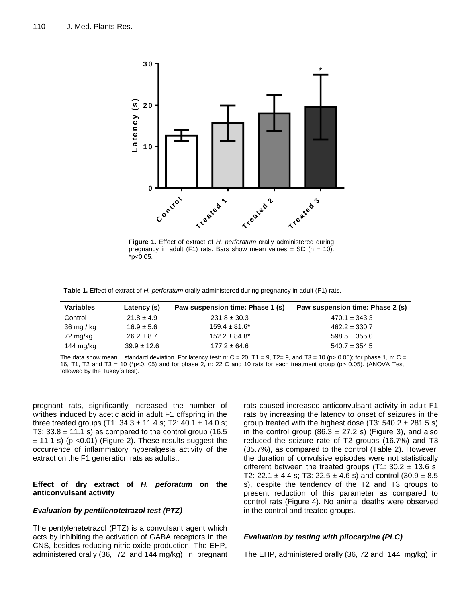

**Figure 1.** Effect of extract of *H. perforatum* orally administered during pregnancy in adult (F1) rats. Bars show mean values  $\pm$  SD (n = 10). \*p<0.05.

**Table 1.** Effect of extract of *H. perforatum* orally administered during pregnancy in adult (F1) rats.

| <b>Variables</b> | Latency (s)     | Paw suspension time: Phase 1 (s) | Paw suspension time: Phase 2 (s) |
|------------------|-----------------|----------------------------------|----------------------------------|
| Control          | $21.8 \pm 4.9$  | $231.8 \pm 30.3$                 | $470.1 \pm 343.3$                |
| 36 mg/kg         | $16.9 \pm 5.6$  | $159.4 \pm 81.6^*$               | $462.2 \pm 330.7$                |
| 72 mg/kg         | $26.2 \pm 8.7$  | $152.2 \pm 84.8^*$               | $598.5 \pm 355.0$                |
| 144 mg/kg        | $39.9 \pm 12.6$ | $177.2 \pm 64.6$                 | $540.7 \pm 354.5$                |

The data show mean  $\pm$  standard deviation. For latency test: n: C = 20, T1 = 9, T2= 9, and T3 = 10 (p> 0.05); for phase 1, n: C = 16, T1, T2 and T3 = 10 (\*p<0, 05) and for phase 2, n: 22 C and 10 rats for each treatment group (p> 0.05). (ANOVA Test, followed by the Tukey´s test).

pregnant rats, significantly increased the number of writhes induced by acetic acid in adult F1 offspring in the three treated groups (T1:  $34.3 \pm 11.4$  s; T2:  $40.1 \pm 14.0$  s; T3:  $33.8 \pm 11.1$  s) as compared to the control group (16.5)  $\pm$  11.1 s) (p < 0.01) (Figure 2). These results suggest the occurrence of inflammatory hyperalgesia activity of the extract on the F1 generation rats as adults..

### **Effect of dry extract of** *H. peforatum* **on the anticonvulsant activity**

#### *Evaluation by pentilenotetrazol test (PTZ)*

The pentylenetetrazol (PTZ) is a convulsant agent which acts by inhibiting the activation of GABA receptors in the CNS, besides reducing nitric oxide production. The EHP, administered orally (36, 72 and 144 mg/kg) in pregnant rats caused increased anticonvulsant activity in adult F1 rats by increasing the latency to onset of seizures in the group treated with the highest dose  $(T3: 540.2 \pm 281.5 s)$ in the control group (86.3  $\pm$  27.2 s) (Figure 3), and also reduced the seizure rate of T2 groups (16.7%) and T3 (35.7%), as compared to the control (Table 2). However, the duration of convulsive episodes were not statistically different between the treated groups (T1:  $30.2 \pm 13.6$  s; T2: 22.1  $\pm$  4.4 s; T3: 22.5  $\pm$  4.6 s) and control (30.9  $\pm$  8.5 s), despite the tendency of the T2 and T3 groups to present reduction of this parameter as compared to control rats (Figure 4). No animal deaths were observed in the control and treated groups.

#### *Evaluation by testing with pilocarpine (PLC)*

The EHP, administered orally (36, 72 and 144 mg/kg) in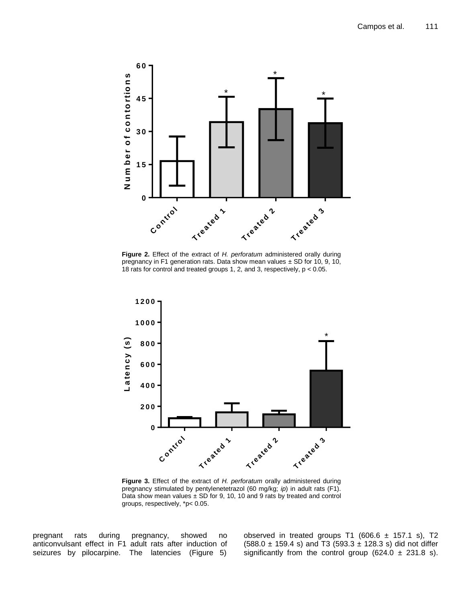

**Figure 2.** Effect of the extract of *H. perforatum* administered orally during pregnancy in F1 generation rats. Data show mean values  $\pm$  SD for 10, 9, 10, 18 rats for control and treated groups 1, 2, and 3, respectively, p < 0.05.



**Figure 3.** Effect of the extract of *H. perforatum* orally administered during pregnancy stimulated by pentylenetetrazol (60 mg/kg; *ip*) in adult rats (F1). Data show mean values  $\pm$  SD for 9, 10, 10 and 9 rats by treated and control groups, respectively, \*p< 0.05.

pregnant rats during pregnancy, showed no anticonvulsant effect in F1 adult rats after induction of seizures by pilocarpine. The latencies (Figure 5)

observed in treated groups T1 (606.6  $\pm$  157.1 s), T2  $(588.0 \pm 159.4 \text{ s})$  and T3 (593.3  $\pm$  128.3 s) did not differ significantly from the control group (624.0  $\pm$  231.8 s).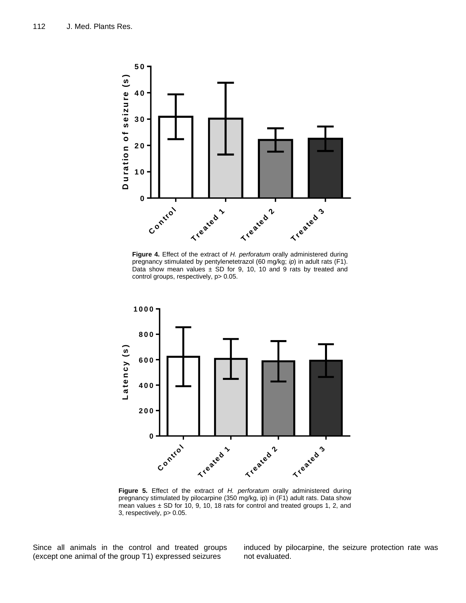

**Figure 4.** Effect of the extract of *H. perforatum* orally administered during pregnancy stimulated by pentylenetetrazol (60 mg/kg; *ip*) in adult rats (F1). Data show mean values  $\pm$  SD for 9, 10, 10 and 9 rats by treated and control groups, respectively, p> 0.05.



**Figure 5.** Effect of the extract of *H. perforatum* orally administered during pregnancy stimulated by pilocarpine (350 mg/kg, ip) in (F1) adult rats. Data show mean values  $\pm$  SD for 10, 9, 10, 18 rats for control and treated groups 1, 2, and 3, respectively, p> 0.05.

Since all animals in the control and treated groups (except one animal of the group T1) expressed seizures

induced by pilocarpine, the seizure protection rate was not evaluated.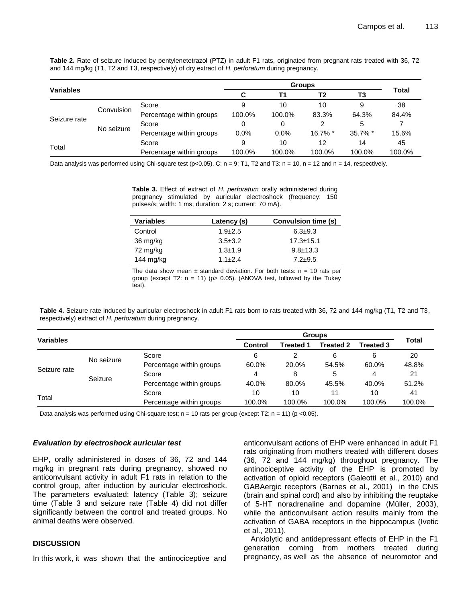**Table 2.** Rate of seizure induced by pentylenetetrazol (PTZ) in adult F1 rats, originated from pregnant rats treated with 36, 72 and 144 mg/kg (T1, T2 and T3, respectively) of dry extract of *H. perforatum* during pregnancy.

|                  |            |                          | <b>Groups</b> |        |                |            |              |  |
|------------------|------------|--------------------------|---------------|--------|----------------|------------|--------------|--|
| <b>Variables</b> |            |                          | C             | Τ1     | T <sub>2</sub> | T3         | <b>Total</b> |  |
| Seizure rate     | Convulsion | Score                    | 9             | 10     | 10             | 9          | 38           |  |
|                  |            | Percentage within groups | 100.0%        | 100.0% | 83.3%          | 64.3%      | 84.4%        |  |
|                  | No seizure | Score                    |               | 0      | 2              | 5          |              |  |
|                  |            | Percentage within groups | 0.0%          | 0.0%   | $16.7\%$ *     | $35.7\%$ * | 15.6%        |  |
|                  |            | Score                    | 9             | 10     | 12             | 14         | 45           |  |
| Total            |            | Percentage within groups | 100.0%        | 100.0% | 100.0%         | 100.0%     | 100.0%       |  |

Data analysis was performed using Chi-square test (p<0.05). C:  $n = 9$ ; T1, T2 and T3:  $n = 10$ ,  $n = 12$  and  $n = 14$ , respectively.

**Table 3.** Effect of extract of *H. perforatum* orally administered during pregnancy stimulated by auricular electroshock (frequency: 150 pulses/s; width: 1 ms; duration: 2 s; current: 70 mA).

| <b>Variables</b> | Latency (s)   | Convulsion time (s) |
|------------------|---------------|---------------------|
| Control          | $1.9 + 2.5$   | $6.3 + 9.3$         |
| 36 mg/kg         | $3.5 \pm 3.2$ | $17.3 \pm 15.1$     |
| 72 mg/kg         | $1.3 \pm 1.9$ | $9.8 \pm 13.3$      |
| 144 $mg/kg$      | $1.1 + 2.4$   | $7.2 + 9.5$         |

The data show mean  $\pm$  standard deviation. For both tests:  $n = 10$  rats per group (except T2:  $n = 11$ ) (p> 0.05). (ANOVA test, followed by the Tukey test).

Table 4. Seizure rate induced by auricular electroshock in adult F1 rats born to rats treated with 36, 72 and 144 mg/kg (T1, T2 and T3, respectively) extract of *H. perforatum* during pregnancy.

|                  |            |                          | <b>Groups</b> |                  |                  |                  |              |
|------------------|------------|--------------------------|---------------|------------------|------------------|------------------|--------------|
| <b>Variables</b> |            |                          | Control       | <b>Treated 1</b> | <b>Treated 2</b> | <b>Treated 3</b> | <b>Total</b> |
| Seizure rate     | No seizure | Score                    | 6             |                  | 6                | 6                | 20           |
|                  |            | Percentage within groups | 60.0%         | 20.0%            | 54.5%            | 60.0%            | 48.8%        |
|                  | Seizure    | Score                    | 4             | 8                | 5                | 4                | 21           |
|                  |            | Percentage within groups | 40.0%         | 80.0%            | 45.5%            | 40.0%            | 51.2%        |
|                  |            | Score                    | 10            | 10               | 11               | 10               | 41           |
| Total            |            | Percentage within groups | 100.0%        | 100.0%           | 100.0%           | 100.0%           | 100.0%       |

Data analysis was performed using Chi-square test;  $n = 10$  rats per group (except T2:  $n = 11$ ) (p <0.05).

#### *Evaluation by electroshock auricular test*

EHP, orally administered in doses of 36, 72 and 144 mg/kg in pregnant rats during pregnancy, showed no anticonvulsant activity in adult F1 rats in relation to the control group, after induction by auricular electroshock. The parameters evaluated: latency (Table 3); seizure time (Table 3 and seizure rate (Table 4) did not differ significantly between the control and treated groups. No animal deaths were observed.

# **DISCUSSION**

In this work, it was shown that the antinociceptive and

anticonvulsant actions of EHP were enhanced in adult F1 rats originating from mothers treated with different doses (36, 72 and 144 mg/kg) throughout pregnancy. The antinociceptive activity of the EHP is promoted by activation of opioid receptors (Galeotti et al., 2010) and GABAergic receptors (Barnes et al., 2001) in the CNS (brain and spinal cord) and also by inhibiting the reuptake of 5-HT noradrenaline and dopamine (Müller, 2003), while the anticonvulsant action results mainly from the activation of GABA receptors in the hippocampus (Ivetic et al., 2011).

Anxiolytic and antidepressant effects of EHP in the F1 generation coming from mothers treated during pregnancy, as well as the absence of neuromotor and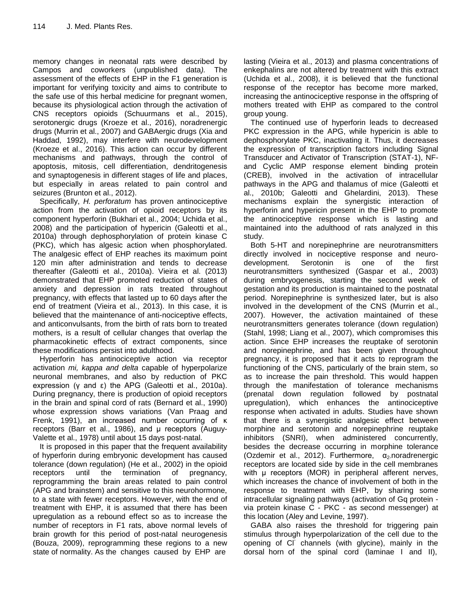memory changes in neonatal rats were described by Campos and coworkers (unpublished data*).* The assessment of the effects of EHP in the F1 generation is important for verifying toxicity and aims to contribute to the safe use of this herbal medicine for pregnant women, because its physiological action through the activation of CNS receptors opioids (Schuurmans et al., 2015), serotonergic drugs (Kroeze et al., 2016), noradrenergic drugs (Murrin et al., 2007) and GABAergic drugs (Xia and Haddad, 1992), may interfere with neurodevelopment (Kroeze et al., 2016). This action can occur by different mechanisms and pathways, through the control of apoptosis, mitosis, cell differentiation, dendritogenesis and synaptogenesis in different stages of life and places, but especially in areas related to pain control and seizures (Brunton et al., 2012).

Specifically, *H. perforatum* has proven antinociceptive action from the activation of opioid receptors by its component hyperforin (Bukhari et al., 2004; Uchida et al., 2008) and the participation of hypericin (Galeotti et al., 2010a) through dephosphorylation of protein kinase C (PKC), which has algesic action when phosphorylated. The analgesic effect of EHP reaches its maximum point 120 min after administration and tends to decrease thereafter (Galeotti et al., 2010a). Vieira et al. (2013) demonstrated that EHP promoted reduction of states of anxiety and depression in rats treated throughout pregnancy, with effects that lasted up to 60 days after the end of treatment (Vieira et al., 2013). In this case, it is believed that the maintenance of anti-nociceptive effects, and anticonvulsants, from the birth of rats born to treated mothers, is a result of cellular changes that overlap the pharmacokinetic effects of extract components, since these modifications persist into adulthood.

Hyperforin has antinociceptive action via receptor activation *mi, kappa and delta* capable of hyperpolarize neuronal membranes, and also by reduction of PKC expression (γ and ε) the APG (Galeotti et al., 2010a). During pregnancy, there is production of opioid receptors in the brain and spinal cord of rats (Bernard et al., 1990) whose expression shows variations (Van Praag and Frenk, 1991), an increased number occurring of κ receptors (Barr et al., 1986), and μ receptors (Auguy-Valette et al., 1978) until about 15 days post-natal.

It is proposed in this paper that the frequent availability of hyperforin during embryonic development has caused tolerance (down regulation) (He et al., 2002) in the opioid receptors until the termination of pregnancy, reprogramming the brain areas related to pain control (APG and brainstem) and sensitive to this neurohormone, to a state with fewer receptors. However, with the end of treatment with EHP, it is assumed that there has been upregulation as a rebound effect so as to increase the number of receptors in F1 rats, above normal levels of brain growth for this period of post-natal neurogenesis (Bouza, 2009), reprogramming these regions to a new state of normality. As the changes caused by EHP are

lasting (Vieira et al., 2013) and plasma concentrations of enkephalins are not altered by treatment with this extract (Uchida et al., 2008), it is believed that the functional response of the receptor has become more marked, increasing the antinociceptive response in the offspring of mothers treated with EHP as compared to the control group young.

The continued use of hyperforin leads to decreased PKC expression in the APG, while hypericin is able to dephosphorylate PKC, inactivating it. Thus, it decreases the expression of transcription factors including Signal Transducer and Activator of Transcription (STAT-1), NFand Cyclic AMP response element binding protein (CREB), involved in the activation of intracellular pathways in the APG and thalamus of mice (Galeotti et al., 2010b; Galeotti and Ghelardini, 2013). These mechanisms explain the synergistic interaction of hyperforin and hypericin present in the EHP to promote the antinociceptive response which is lasting and maintained into the adulthood of rats analyzed in this study.

Both 5-HT and norepinephrine are neurotransmitters directly involved in nociceptive response and neurodevelopment. Serotonin is one of the first neurotransmitters synthesized (Gaspar et al., 2003) during embryogenesis, starting the second week of gestation and its production is maintained to the postnatal period. Norepinephrine is synthesized later, but is also involved in the development of the CNS (Murrin et al., 2007). However, the activation maintained of these neurotransmitters generates tolerance (down regulation) (Stahl, 1998; Liang et al., 2007), which compromises this action. Since EHP increases the reuptake of serotonin and norepinephrine, and has been given throughout pregnancy, it is proposed that it acts to reprogram the functioning of the CNS, particularly of the brain stem, so as to increase the pain threshold. This would happen through the manifestation of tolerance mechanisms (prenatal down regulation followed by postnatal upregulation), which enhances the antinociceptive response when activated in adults. Studies have shown that there is a synergistic analgesic effect between morphine and serotonin and norepinephrine reuptake inhibitors (SNRI), when administered concurrently, besides the decrease occurring in morphine tolerance (Ozdemir et al., 2012). Furthermore,  $\alpha_2$  noradrenergic receptors are located side by side in the cell membranes with μ receptors (MOR) in peripheral afferent nerves, which increases the chance of involvement of both in the response to treatment with EHP, by sharing some intracellular signaling pathways (activation of Gq protein via protein kinase C - PKC - as second messenger) at this location (Aley and Levine, 1997).

GABA also raises the threshold for triggering pain stimulus through hyperpolarization of the cell due to the opening of CI channels (with glycine), mainly in the dorsal horn of the spinal cord (laminae I and II),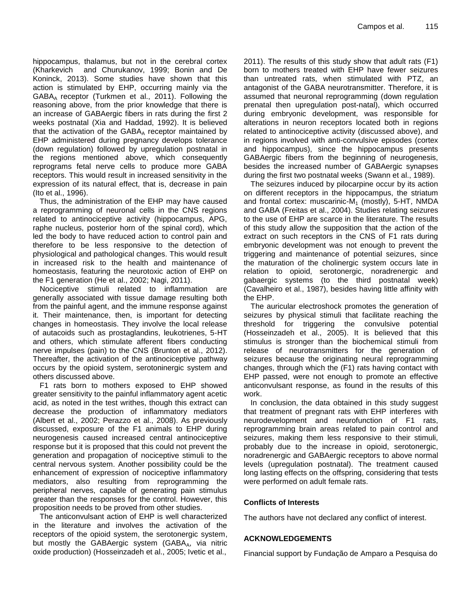hippocampus, thalamus, but not in the cerebral cortex (Kharkevich and Churukanov, 1999; Bonin and De Koninck, 2013). Some studies have shown that this action is stimulated by EHP, occurring mainly via the GABAA receptor (Turkmen et al., 2011). Following the reasoning above, from the prior knowledge that there is an increase of GABAergic fibers in rats during the first 2 weeks postnatal (Xia and Haddad, 1992). It is believed that the activation of the  $GABA_A$  receptor maintained by EHP administered during pregnancy develops tolerance (down regulation) followed by upregulation postnatal in the regions mentioned above, which consequently reprograms fetal nerve cells to produce more GABA receptors. This would result in increased sensitivity in the expression of its natural effect, that is, decrease in pain (Ito et al., 1996).

Thus, the administration of the EHP may have caused a reprogramming of neuronal cells in the CNS regions related to antinociceptive activity (hippocampus, APG, raphe nucleus, posterior horn of the spinal cord), which led the body to have reduced action to control pain and therefore to be less responsive to the detection of physiological and pathological changes. This would result in increased risk to the health and maintenance of homeostasis, featuring the neurotoxic action of EHP on the F1 generation (He et al., 2002; Nagi, 2011).

Nociceptive stimuli related to inflammation are generally associated with tissue damage resulting both from the painful agent, and the immune response against it. Their maintenance, then, is important for detecting changes in homeostasis. They involve the local release of autacoids such as prostaglandins, leukotrienes, 5-HT and others, which stimulate afferent fibers conducting nerve impulses (pain) to the CNS (Brunton et al., 2012). Thereafter, the activation of the antinociceptive pathway occurs by the opioid system, serotoninergic system and others discussed above.

F1 rats born to mothers exposed to EHP showed greater sensitivity to the painful inflammatory agent acetic acid, as noted in the test writhes, though this extract can decrease the production of inflammatory mediators (Albert et al., 2002; Perazzo et al., 2008). As previously discussed, exposure of the F1 animals to EHP during neurogenesis caused increased central antinociceptive response but it is proposed that this could not prevent the generation and propagation of nociceptive stimuli to the central nervous system. Another possibility could be the enhancement of expression of nociceptive inflammatory mediators, also resulting from reprogramming the peripheral nerves, capable of generating pain stimulus greater than the responses for the control. However, this proposition needs to be proved from other studies.

The anticonvulsant action of EHP is well characterized in the literature and involves the activation of the receptors of the opioid system, the serotonergic system, but mostly the GABAergic system (GABAA, via nitric oxide production) (Hosseinzadeh et al., 2005; Ivetic et al.,

2011). The results of this study show that adult rats (F1) born to mothers treated with EHP have fewer seizures than untreated rats, when stimulated with PTZ, an antagonist of the GABA neurotransmitter. Therefore, it is assumed that neuronal reprogramming (down regulation prenatal then upregulation post-natal), which occurred during embryonic development, was responsible for alterations in neuron receptors located both in regions related to antinociceptive activity (discussed above), and in regions involved with anti-convulsive episodes (cortex and hippocampus), since the hippocampus presents GABAergic fibers from the beginning of neurogenesis, besides the increased number of GABAergic synapses during the first two postnatal weeks (Swann et al., 1989).

The seizures induced by pilocarpine occur by its action on different receptors in the hippocampus, the striatum and frontal cortex: muscarinic- $M_1$  (mostly), 5-HT, NMDA and GABA (Freitas et al., 2004). Studies relating seizures to the use of EHP are scarce in the literature. The results of this study allow the supposition that the action of the extract on such receptors in the CNS of F1 rats during embryonic development was not enough to prevent the triggering and maintenance of potential seizures, since the maturation of the cholinergic system occurs late in relation to opioid, serotonergic, noradrenergic and gabaergic systems (to the third postnatal week) (Cavalheiro et al., 1987), besides having little affinity with the EHP.

The auricular electroshock promotes the generation of seizures by physical stimuli that facilitate reaching the threshold for triggering the convulsive potential (Hosseinzadeh et al., 2005). It is believed that this stimulus is stronger than the biochemical stimuli from release of neurotransmitters for the generation of seizures because the originating neural reprogramming changes, through which the (F1) rats having contact with EHP passed, were not enough to promote an effective anticonvulsant response, as found in the results of this work.

In conclusion, the data obtained in this study suggest that treatment of pregnant rats with EHP interferes with neurodevelopment and neurofunction of F1 rats, reprogramming brain areas related to pain control and seizures, making them less responsive to their stimuli, probably due to the increase in opioid, serotonergic, noradrenergic and GABAergic receptors to above normal levels (upregulation postnatal). The treatment caused long lasting effects on the offspring, considering that tests were performed on adult female rats.

# **Conflicts of Interests**

The authors have not declared any conflict of interest.

# **ACKNOWLEDGEMENTS**

Financial support by Fundação de Amparo a Pesquisa do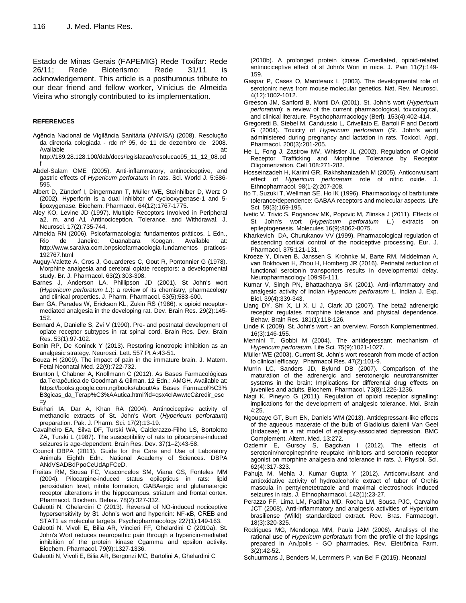Estado de Minas Gerais (FAPEMIG) Rede Toxifar: Rede 26/11; Rede Bioterismo: Rede 31/11 is acknowledgement. This article is a posthumous tribute to our dear friend and fellow worker, Vinícius de Almeida Vieira who strongly contributed to its implementation.

#### **REFERENCES**

- Agência Nacional de Vigilância Sanitária (ANVISA) (2008). Resolução da diretoria colegiada - rdc nº 95, de 11 de dezembro de 2008. Available at: [http://189.28.128.100/dab/docs/legislacao/resolucao95\\_11\\_12\\_08.pd](http://189.28.128.100/dab/docs/legislacao/resolucao95_11_12_08.pdf)
- [f](http://189.28.128.100/dab/docs/legislacao/resolucao95_11_12_08.pdf) Abdel-Salam OME (2005). Anti-inflammatory, antinociceptive, and gastric effects of *Hypericum perforatum* in rats. Sci. World J. 5:586-
- 595. Albert D, Zündorf I, Dingermann T, Müller WE, Steinhilber D, Werz O (2002). Hyperforin is a dual inhibitor of cyclooxygenase-1 and 5-
- lipoxygenase. Biochem. Pharmacol. 64(12):1767-1775. Aley KO, Levine JD (1997). Multiple Receptors Involved in Peripheral
- a2, m, and A1 Antinociception, Tolerance, and Withdrawal. J. Neurosci. 17(2):735-744.
- Almeida RN (2006). Psicofarmacologia: fundamentos práticos. 1 Edn., Rio de Janeiro: Guanabara Koogan. Available at: [http://www.saraiva.com.br/psicofarmacologia-fundamentos praticos-](http://www.saraiva.com.br/psicofarmacologia-fundamentos%20praticos-192767.html)[192767.html](http://www.saraiva.com.br/psicofarmacologia-fundamentos%20praticos-192767.html)
- Auguy-Valette A, Cros J, Gouarderes C, Gout R, Pontonnier G (1978). Morphine analgesia and cerebral opiate receptors: a developmental study. Br. J. Pharmacol. 63(2):303-308.
- Barnes J, Anderson LA, Phillipson JD (2001). St John's wort (*Hypericum perforatum L*.): a review of its chemistry, pharmacology and clinical properties. J. Pharm. Pharmacol. 53(5):583-600.
- Barr GA, Paredes W, Erickson KL, Zukin RS (1986). κ opioid receptormediated analgesia in the developing rat. Dev. Brain Res. 29(2):145- 152.
- Bernard A, Danielle S, Zvi V (1990). Pre- and postnatal development of opiate receptor subtypes in rat spinal cord. Brain Res. Dev. Brain Res. 53(1):97-102.
- Bonin RP, De Koninck Y (2013). Restoring ionotropic inhibition as an analgesic strategy. Neurosci. Lett. 557 Pt A:43-51.
- Bouza H (2009). The impact of pain in the immature brain. J. Matern. Fetal Neonatal Med. 22(9):722-732.
- Brunton l, Chabner A, Knollmann C (2012). As Bases Farmacológicas da Terapêutica de Goodman & Gilman. 12 Edn.: AMGH. Available at: [https://books.google.com.ng/books/about/As\\_Bases\\_Farmacol%C3%](https://books.google.com.ng/books/about/As_Bases_Farmacol%C3%B3gicas_da_Terap%C3%AAutica.html?id=qsx4cIAwwtcC&redir_esc=y) [B3gicas\\_da\\_Terap%C3%AAutica.html?id=qsx4cIAwwtcC&redir\\_esc](https://books.google.com.ng/books/about/As_Bases_Farmacol%C3%B3gicas_da_Terap%C3%AAutica.html?id=qsx4cIAwwtcC&redir_esc=y)  $=$ v
- Bukhari IA, Dar A, Khan RA (2004). Antinociceptive activity of methanolic extracts of St. John's Wort (*Hypericum perforatum*) preparation. Pak. J. Pharm. Sci. 17(2):13-19.
- Cavalheiro EA, Silva DF, Turski WA, Calderazzo-Filho LS, Bortolotto ZA, Turski L (1987). The susceptibility of rats to pilocarpine-induced seizures is age-dependent. Brain Res. Dev. 37(1–2):43-58.
- Council DBPA (2011). Guide for the Care and Use of Laboratory Animals Eighth Edn.: National Academy of Sciences. DBPA ANdVSADBdPpoCeUdApFCeD.
- Freitas RM, Sousa FC, Vasconcelos SM, Viana GS, Fonteles MM (2004). Pilocarpine-induced status epilepticus in rats: lipid peroxidation level, nitrite formation, GABAergic and glutamatergic receptor alterations in the hippocampus, striatum and frontal cortex. Pharmacol. Biochem. Behav. 78(2):327-332.
- Galeotti N, Ghelardini C (2013). Reversal of NO-induced nociceptive hypersensitivity by St. John's wort and hypericin: NF-κB, CREB and STAT1 as molecular targets. Psychopharmacology 227(1):149-163.
- Galeotti N, Vivoli E, Bilia AR, Vincieri FF, Ghelardini C (2010a). St. John's Wort reduces neuropathic pain through a hypericin-mediated inhibition of the protein kinase Cgamma and epsilon activity. Biochem. Pharmacol. 79(9):1327-1336.

Galeotti N, Vivoli E, Bilia AR, Bergonzi MC, Bartolini A, Ghelardini C

(2010b). A prolonged protein kinase C-mediated, opioid-related antinociceptive effect of st John's Wort in mice. J. Pain 11(2):149- 159.

- Gaspar P, Cases O, Maroteaux L (2003). The developmental role of serotonin: news from mouse molecular genetics. Nat. Rev. Neurosci. 4(12):1002-1012.
- Greeson JM, Sanford B, Monti DA (2001). St. John's wort (*Hypericum perforatum*): a review of the current pharmacological, toxicological, and clinical literature. Psychopharmacology (Berl). 153(4):402-414.
- <span id="page-9-0"></span>Gregoretti B, Stebel M, Candussio L, Crivellato E, Bartoli F and Decorti G (2004). Toxicity of *Hypericum perforatum* (St. John's wort) administered during pregnancy and lactation in rats. Toxicol. Appl. Pharmacol. 200(3):201-205.
- He L, Fong J, Zastrow MV, Whistler JL (2002). Regulation of Opioid Receptor Trafficking and Morphine Tolerance by Receptor Oligomerization. Cell 108:271-282.
- Hosseinzadeh H, Karimi GR, Rakhshanizadeh M (2005). Anticonvulsant effect of *Hypericum perforatum*: role of nitric oxide. J. Ethnopharmacol. 98(1-2):207-208.
- Ito T, Suzuki T, Wellman SE, Ho IK (1996). Pharmacology of barbiturate tolerance/dependence: GABAA receptors and molecular aspects. Life Sci. 59(3):169-195.
- Ivetic V, Trivic S, Pogancev MK, Popovic M, Zlinska J (2011). Effects of St John's wort (*Hypericum perforatum L.*) extracts on epileptogenesis. Molecules 16(9):8062-8075.
- Kharkevich DA, Churukanov VV (1999). Pharmacological regulation of descending cortical control of the nociceptive processing. Eur. J. Pharmacol. 375:121-131.
- Kroeze Y, Dirven B, Janssen S, Krohnke M, Barte RM, Middelman A, van Bokhoven H, Zhou H, Homberg JR (2016). Perinatal reduction of functional serotonin transporters results in developmental delay. Neuropharmacology 109:96-111.
- Kumar V, Singh PN, Bhattacharya SK (2001). Anti-inflammatory and analgesic activity of Indian *Hypericum perforatum L*. Indian J. Exp. Biol. 39(4):339-343.
- Liang DY, Shi X, Li X, Li J, Clark JD (2007). The beta2 adrenergic receptor regulates morphine tolerance and physical dependence. Behav. Brain Res. 181(1):118-126.
- Linde K (2009). St. John's wort an overview. Forsch Komplementmed. 16(3):146-155.
- Mennini T, Gobbi M (2004). The antidepressant mechanism of *Hypericum perforatum*. Life Sci. 75(9):1021-1027.
- Müller WE (2003). Current St. John's wort research from mode of action to clinical efficacy. Pharmacol Res. 47(2):101-9.
- Murrin LC, Sanders JD, Bylund DB (2007). Comparison of the maturation of the adrenergic and serotonergic neurotransmitter systems in the brain: Implications for differential drug effects on juveniles and adults. Biochem. Pharmacol. 73(8):1225-1236.
- Nagi K, Pineyro G (2011). Regulation of opioid receptor signalling: implications for the development of analgesic tolerance. Mol. Brain 4:25.
- Ngoupaye GT, Bum EN, Daniels WM (2013). Antidepressant-like effects of the aqueous macerate of the bulb of Gladiolus dalenii Van Geel (Iridaceae) in a rat model of epilepsy-associated depression. BMC Complement. Altern. Med. 13:272.
- Ozdemir E, Gursoy S, Bagcivan I (2012). The effects of serotonin/norepinephrine reuptake inhibitors and serotonin receptor agonist on morphine analgesia and tolerance in rats. J. Physiol. Sci. 62(4):317-323.
- Pahuja M, Mehla J, Kumar Gupta Y (2012). Anticonvulsant and antioxidative activity of hydroalcoholic extract of tuber of Orchis mascula in pentylenetetrazole and maximal electroshock induced seizures in rats. J. Ethnopharmacol. 142(1):23-27.
- Perazzo FF, Lima LM, Padilha MD, Rocha LM, Sousa PJC, Carvalho JCT (2008). Anti-inflammatory and analgesic activities of Hypericum brasiliense (Willd) standardized extract. Rev. Bras. Farmacogn. 18(3):320-325.
- Rodrigues MG, Mendonça MM, Paula JAM (2006). Analisys of the rational use of *Hypericum perforatum* from the profile of the lapsings prepared in Anلpolis - GO pharmacies. Rev. Eletrônica Farm. 3(2):42-52.
- Schuurmans J, Benders M, Lemmers P, van Bel F (2015). Neonatal